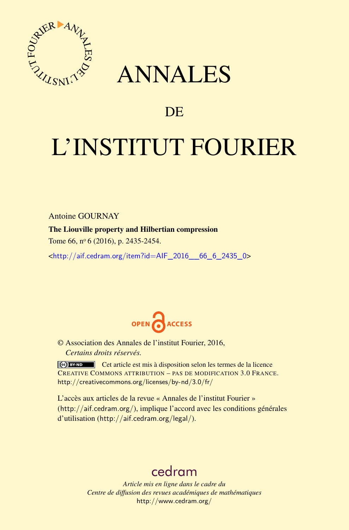

## ANNALES

### **DE**

# L'INSTITUT FOURIER

Antoine GOURNAY

The Liouville property and Hilbertian compression

Tome 66, nº 6 (2016), p. 2435-2454.

 $\kappa$ http://aif.cedram.org/item?id=AIF 2016 66 6 2435 0>



© Association des Annales de l'institut Fourier, 2016, *Certains droits réservés.*

Cet article est mis à disposition selon les termes de la licence CREATIVE COMMONS ATTRIBUTION – PAS DE MODIFICATION 3.0 FRANCE. <http://creativecommons.org/licenses/by-nd/3.0/fr/>

L'accès aux articles de la revue « Annales de l'institut Fourier » (<http://aif.cedram.org/>), implique l'accord avec les conditions générales d'utilisation (<http://aif.cedram.org/legal/>).

## [cedram](http://www.cedram.org/)

*Article mis en ligne dans le cadre du Centre de diffusion des revues académiques de mathématiques* <http://www.cedram.org/>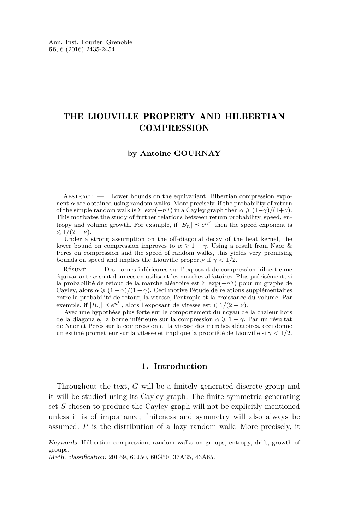#### THE LIOUVILLE PROPERTY AND HILBERTIAN **COMPRESSION**

#### **by Antoine GOURNAY**

Abstract. — Lower bounds on the equivariant Hilbertian compression exponent  $\alpha$  are obtained using random walks. More precisely, if the probability of return of the simple random walk is  $\succeq$  exp( $-n^{\gamma}$ ) in a Cayley graph then  $\alpha \geq (1-\gamma)/(1+\gamma)$ . This motivates the study of further relations between return probability, speed, entropy and volume growth. For example, if  $|B_n| \leq e^{n^{\nu}}$  then the speed exponent is  $\leqslant 1/(2-\nu).$ 

Under a strong assumption on the off-diagonal decay of the heat kernel, the lower bound on compression improves to  $\alpha \geq 1 - \gamma$ . Using a result from Naor & Peres on compression and the speed of random walks, this yields very promising bounds on speed and implies the Liouville property if  $\gamma < 1/2$ .

Résumé. — Des bornes inférieures sur l'exposant de compression hilbertienne équivariante *α* sont données en utilisant les marches aléatoires. Plus précisément, si la probabilité de retour de la marche aléatoire est  $\succeq$  exp( $-n^{\gamma}$ ) pour un graphe de Cayley, alors  $\alpha \geq (1 - \gamma)/(1 + \gamma)$ . Ceci motive l'étude de relations supplémentaires entre la probabilité de retour, la vitesse, l'entropie et la croissance du volume. Par exemple, if  $|B_n| \leq e^{n^{\nu}}$ , alors l'exposant de vitesse est  $\leq 1/(2 - \nu)$ .

Avec une hypothèse plus forte sur le comportement du noyau de la chaleur hors de la diagonale, la borne inférieure sur la compression  $\alpha \geq 1 - \gamma$ . Par un résultat de Naor et Peres sur la compression et la vitesse des marches aléatoires, ceci donne un estimé prometteur sur la vitesse et implique la propriété de Liouville si *γ <* 1*/*2.

#### **1. Introduction**

Throughout the text, *G* will be a finitely generated discrete group and it will be studied using its Cayley graph. The finite symmetric generating set *S* chosen to produce the Cayley graph will not be explicitly mentioned unless it is of importance; finiteness and symmetry will also always be assumed. *P* is the distribution of a lazy random walk. More precisely, it

Keywords: Hilbertian compression, random walks on groups, entropy, drift, growth of groups.

Math. classification: 20F69, 60J50, 60G50, 37A35, 43A65.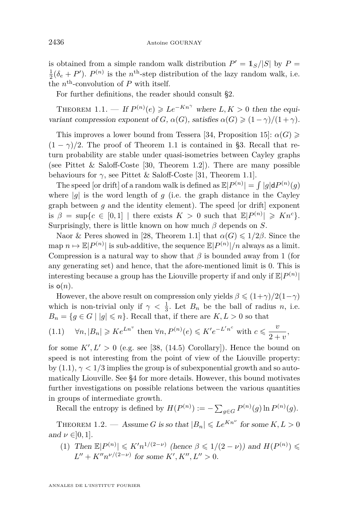is obtained from a simple random walk distribution  $P' = \frac{1}{S}$ */*|*S*| by  $P =$  $\frac{1}{2}(\delta_e + P')$ .  $P^{(n)}$  is the *n*<sup>th</sup>-step distribution of the lazy random walk, i.e. the  $n^{\text{th}}$ -convolution of  $P$  with itself.

For further definitions, the reader should consult [§2.](#page-6-0)

<span id="page-2-0"></span>THEOREM 1.1. — If  $P^{(n)}(e) \geqslant Le^{-Kn^{\gamma}}$  where  $L, K > 0$  then the equivariant compression exponent of *G*,  $\alpha(G)$ , satisfies  $\alpha(G) \geq (1 - \gamma)/(1 + \gamma)$ .

This improves a lower bound from Tessera [\[34,](#page-19-0) Proposition 15]:  $\alpha(G) \geq$  $(1 - \gamma)/2$ . The proof of Theorem [1.1](#page-2-0) is contained in [§3.](#page-9-0) Recall that return probability are stable under quasi-isometries between Cayley graphs (see Pittet & Saloff-Coste [\[30,](#page-19-1) Theorem 1.2]). There are many possible behaviours for  $\gamma$ , see Pittet & Saloff-Coste [\[31,](#page-19-2) Theorem 1.1].

The speed [or drift] of a random walk is defined as  $\mathbb{E}|P^{(n)}| = \int |g| dP^{(n)}(g)$ where  $|g|$  is the word length of  $g$  (i.e. the graph distance in the Cayley graph between  $g$  and the identity element). The speed [or drift] exponent is  $\beta = \sup\{c \in [0,1] \mid \text{there exists } K > 0 \text{ such that } \mathbb{E}[P^{(n)}] \geq Kn^c\}.$ Surprisingly, there is little known on how much *β* depends on *S*.

Naor & Peres showed in [\[28,](#page-19-3) Theorem 1.1] that  $\alpha(G) \leq 1/2\beta$ . Since the  $\text{map } n \mapsto \mathbb{E}|P^{(n)}|$  is sub-additive, the sequence  $\mathbb{E}|P^{(n)}|/n$  always as a limit. Compression is a natural way to show that *β* is bounded away from 1 (for any generating set) and hence, that the afore-mentioned limit is 0. This is interesting because a group has the Liouville property if and only if  $\mathbb{E}|P^{(n)}|$ is  $o(n)$ .

However, the above result on compression only yields  $\beta \leq (1+\gamma)/2(1-\gamma)$ which is non-trivial only if  $\gamma < \frac{1}{3}$ . Let  $B_n$  be the ball of radius *n*, i.e.  $B_n = \{ g \in G \mid |g| \leq n \}.$  Recall that, if there are  $K, L > 0$  so that

<span id="page-2-1"></span>(1.1) 
$$
\forall n, |B_n| \geq Ke^{Ln^v}
$$
 then  $\forall n, P^{(n)}(e) \leq K'e^{-L'n^c}$  with  $c \leq \frac{v}{2+v}$ ,

for some  $K', L' > 0$  (e.g. see [\[38,](#page-20-0) (14.5) Corollary]). Hence the bound on speed is not interesting from the point of view of the Liouville property: by  $(1.1), \gamma < 1/3$  $(1.1), \gamma < 1/3$  implies the group is of subexponential growth and so automatically Liouville. See [§4](#page-12-0) for more details. However, this bound motivates further investigations on possible relations between the various quantities in groups of intermediate growth.

Recall the entropy is defined by  $H(P^{(n)}) := -\sum_{g \in G} P^{(n)}(g) \ln P^{(n)}(g)$ .

<span id="page-2-2"></span>THEOREM 1.2. — Assume *G* is so that  $|B_n| \leqslant Le^{Kn^{\nu}}$  for some  $K, L > 0$ and  $\nu \in ]0,1]$ .

(1) Then  $\mathbb{E}|P^{(n)}| \leq K'n^{1/(2-\nu)}$  (hence  $\beta \leq 1/(2-\nu)$ ) and  $H(P^{(n)}) \leq$  $L'' + K''n^{\nu/(2-\nu)}$  for some  $K', K'', L'' > 0$ .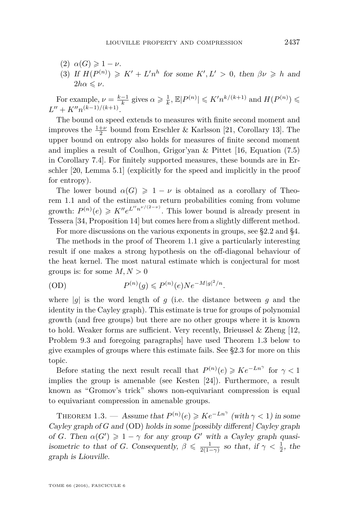- $(2)$   $\alpha(G) \geqslant 1 \nu$ .
- (3) If  $H(P^{(n)}) \geq K' + L'n^h$  for some  $K', L' > 0$ , then  $\beta \nu \geq h$  and  $2h\alpha \leq \nu$ .

For example,  $\nu = \frac{k-1}{k}$  gives  $\alpha \geq \frac{1}{k}$ ,  $\mathbb{E}|P^{(n)}| \leqslant K'n^{k/(k+1)}$  and  $H(P^{(n)}) \leqslant$  $L'' + K''n^{(k-1)/(k+1)}.$ 

The bound on speed extends to measures with finite second moment and improves the  $\frac{1+\nu}{2}$  bound from Erschler & Karlsson [\[21,](#page-19-4) Corollary 13]. The upper bound on entropy also holds for measures of finite second moment and implies a result of Coulhon, Grigor'yan & Pittet [\[16,](#page-19-5) Equation (7.5) in Corollary 7.4]. For finitely supported measures, these bounds are in Erschler [\[20,](#page-19-6) Lemma 5.1] (explicitly for the speed and implicitly in the proof for entropy).

The lower bound  $\alpha(G) \geq 1 - \nu$  is obtained as a corollary of Theorem [1.1](#page-2-0) and of the estimate on return probabilities coming from volume growth:  $P^{(n)}(e) \geqslant K'' e^{L''n^{\nu/(2-\nu)}}$ . This lower bound is already present in Tessera [\[34,](#page-19-0) Proposition 14] but comes here from a slightly different method.

For more discussions on the various exponents in groups, see [§2.2](#page-7-0) and [§4.](#page-12-0)

The methods in the proof of Theorem [1.1](#page-2-0) give a particularly interesting result if one makes a strong hypothesis on the off-diagonal behaviour of the heat kernel. The most natural estimate which is conjectural for most groups is: for some  $M, N > 0$ 

<span id="page-3-1"></span>
$$
(OD) \t P(n)(g) \leqslant P(n)(e)Ne-M|g|2/n.
$$

where  $|q|$  is the word length of *q* (i.e. the distance between *q* and the identity in the Cayley graph). This estimate is true for groups of polynomial growth (and free groups) but there are no other groups where it is known to hold. Weaker forms are sufficient. Very recently, Brieussel & Zheng [\[12,](#page-19-7) Problem 9.3 and foregoing paragraphs] have used Theorem [1.3](#page-3-0) below to give examples of groups where this estimate fails. See [§2.3](#page-8-0) for more on this topic.

Before stating the next result recall that  $P^{(n)}(e) \geqslant Ke^{-Ln^{\gamma}}$  for  $\gamma < 1$ implies the group is amenable (see Kesten [\[24\]](#page-19-8)). Furthermore, a result known as "Gromov's trick" shows non-equivariant compression is equal to equivariant compression in amenable groups.

<span id="page-3-0"></span>THEOREM 1.3. — Assume that  $P^{(n)}(e) \geqslant Ke^{-Ln^{\gamma}}$  (with  $\gamma < 1$ ) in some Cayley graph of *G* and [\(OD\)](#page-3-1) holds in some [possibly different] Cayley graph of *G*. Then  $\alpha(G') \geq 1 - \gamma$  for any group *G*<sup>*'*</sup> with a Cayley graph quasiisometric to that of *G*. Consequently,  $\beta \leq \frac{1}{2(1-\gamma)}$  so that, if  $\gamma < \frac{1}{2}$ , the graph is Liouville.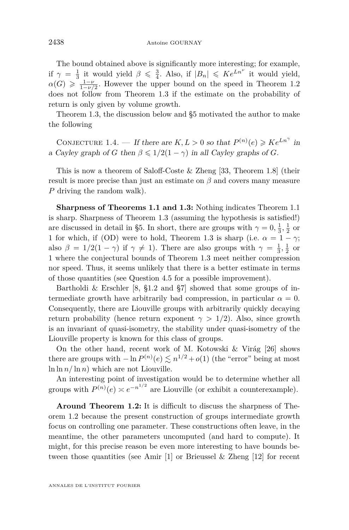The bound obtained above is significantly more interesting; for example, if  $\gamma = \frac{1}{3}$  it would yield  $\beta \leq \frac{3}{4}$ . Also, if  $|B_n| \leq K e^{Ln^{\nu}}$  it would yield,  $\alpha(G) \geqslant \frac{1-\nu}{1-\nu/2}$ . However the upper bound on the speed in Theorem [1.2](#page-2-2) does not follow from Theorem [1.3](#page-3-0) if the estimate on the probability of return is only given by volume growth.

Theorem [1.3,](#page-3-0) the discussion below and [§5](#page-16-0) motivated the author to make the following

<span id="page-4-0"></span>CONJECTURE 1.4. — If there are  $K, L > 0$  so that  $P^{(n)}(e) \geq K e^{Ln^{\gamma}}$  in a Cayley graph of *G* then  $\beta \leq 1/2(1 - \gamma)$  in all Cayley graphs of *G*.

This is now a theorem of Saloff-Coste & Zheng [\[33,](#page-19-9) Theorem 1.8] (their result is more precise than just an estimate on  $\beta$  and covers many measure *P* driving the random walk).

**Sharpness of Theorems [1.1](#page-2-0) and [1.3:](#page-3-0)** Nothing indicates Theorem [1.1](#page-2-0) is sharp. Sharpness of Theorem [1.3](#page-3-0) (assuming the hypothesis is satisfied!) are discussed in detail in [§5.](#page-16-0) In short, there are groups with  $\gamma = 0, \frac{1}{3}, \frac{1}{2}$  or 1 for which, if [\(OD\)](#page-3-1) were to hold, Theorem [1.3](#page-3-0) is sharp (i.e.  $\alpha = 1 - \gamma$ ; also  $\beta = 1/2(1 - \gamma)$  if  $\gamma \neq 1$ ). There are also groups with  $\gamma = \frac{1}{3}, \frac{1}{2}$  or 1 where the conjectural bounds of Theorem [1.3](#page-3-0) meet neither compression nor speed. Thus, it seems unlikely that there is a better estimate in terms of those quantities (see Question [4.5](#page-16-1) for a possible improvement).

Bartholdi & Erschler [\[8,](#page-18-0) §1.2 and §7] showed that some groups of intermediate growth have arbitrarily bad compression, in particular  $\alpha = 0$ . Consequently, there are Liouville groups with arbitrarily quickly decaying return probability (hence return exponent  $\gamma > 1/2$ ). Also, since growth is an invariant of quasi-isometry, the stability under quasi-isometry of the Liouville property is known for this class of groups.

On the other hand, recent work of M. Kotowski & Virág [\[26\]](#page-19-10) shows there are groups with  $-\ln P^{(n)}(e) \lesssim n^{1/2} + o(1)$  (the "error" being at most  $\ln \ln n / \ln n$  which are not Liouville.

An interesting point of investigation would be to determine whether all groups with  $P^{(n)}(e) \simeq e^{-n^{1/2}}$  are Liouville (or exhibit a counterexample).

**Around Theorem [1.2:](#page-2-2)** It is difficult to discuss the sharpness of Theorem [1.2](#page-2-2) because the present construction of groups intermediate growth focus on controlling one parameter. These constructions often leave, in the meantime, the other parameters uncomputed (and hard to compute). It might, for this precise reason be even more interesting to have bounds between those quantities (see Amir [\[1\]](#page-18-1) or Brieussel & Zheng [\[12\]](#page-19-7) for recent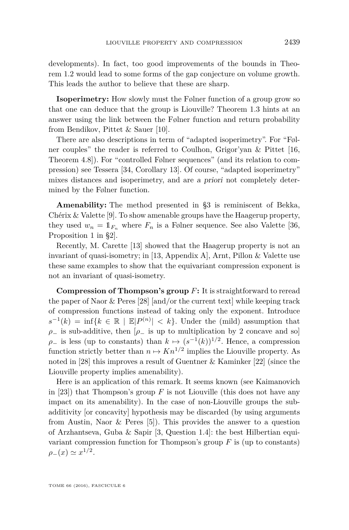developments). In fact, too good improvements of the bounds in Theorem [1.2](#page-2-2) would lead to some forms of the gap conjecture on volume growth. This leads the author to believe that these are sharp.

**Isoperimetry:** How slowly must the Følner function of a group grow so that one can deduce that the group is Liouville? Theorem [1.3](#page-3-0) hints at an answer using the link between the Følner function and return probability from Bendikov, Pittet & Sauer [\[10\]](#page-18-2).

There are also descriptions in term of "adapted isoperimetry". For "Følner couples" the reader is referred to Coulhon, Grigor'yan & Pittet [\[16,](#page-19-5) Theorem 4.8]). For "controlled Følner sequences" (and its relation to compression) see Tessera [\[34,](#page-19-0) Corollary 13]. Of course, "adapted isoperimetry" mixes distances and isoperimetry, and are a priori not completely determined by the Følner function.

**Amenability:** The method presented in [§3](#page-9-0) is reminiscent of Bekka, Chérix & Valette [\[9\]](#page-18-3). To show amenable groups have the Haagerup property, they used  $w_n = \mathbb{1}_{F_n}$  where  $F_n$  is a Følner sequence. See also Valette [\[36,](#page-20-1) Proposition 1 in §2].

Recently, M. Carette [\[13\]](#page-19-11) showed that the Haagerup property is not an invariant of quasi-isometry; in [\[13,](#page-19-11) Appendix A], Arnt, Pillon & Valette use these same examples to show that the equivariant compression exponent is not an invariant of quasi-isometry.

**Compression of Thompson's group** *F***:** It is straightforward to reread the paper of Naor & Peres [\[28\]](#page-19-3) [and/or the current text] while keeping track of compression functions instead of taking only the exponent. Introduce  $s^{-1}(k) = \inf\{k \in \mathbb{R} \mid \mathbb{E}|P^{(n)}| < k\}.$  Under the (mild) assumption that  $\rho$ <sub>−</sub> is sub-additive, then  $\rho$ <sub>−</sub> is up to multiplication by 2 concave and so  $\rho$ <sub>−</sub> is less (up to constants) than  $k \mapsto (s^{-1}(k))^{1/2}$ . Hence, a compression function strictly better than  $n \mapsto Kn^{1/2}$  implies the Liouville property. As noted in [\[28\]](#page-19-3) this improves a result of Guentner & Kaminker [\[22\]](#page-19-12) (since the Liouville property implies amenability).

Here is an application of this remark. It seems known (see Kaimanovich in [\[23\]](#page-19-13)) that Thompson's group *F* is not Liouville (this does not have any impact on its amenability). In the case of non-Liouville groups the subadditivity [or concavity] hypothesis may be discarded (by using arguments from Austin, Naor & Peres [\[5\]](#page-18-4)). This provides the answer to a question of Arzhantseva, Guba & Sapir [\[3,](#page-18-5) Question 1.4]: the best Hilbertian equivariant compression function for Thompson's group *F* is (up to constants)  $\rho_-(x) \simeq x^{1/2}.$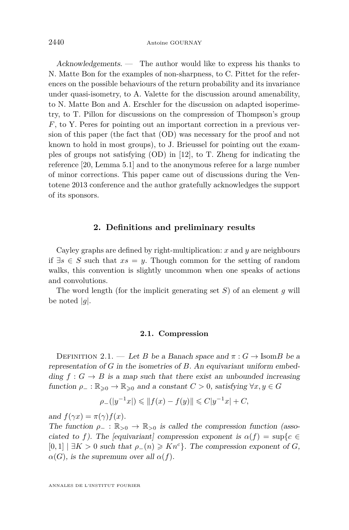Acknowledgements. — The author would like to express his thanks to N. Matte Bon for the examples of non-sharpness, to C. Pittet for the references on the possible behaviours of the return probability and its invariance under quasi-isometry, to A. Valette for the discussion around amenability, to N. Matte Bon and A. Erschler for the discussion on adapted isoperimetry, to T. Pillon for discussions on the compression of Thompson's group *F*, to Y. Peres for pointing out an important correction in a previous version of this paper (the fact that [\(OD\)](#page-3-1) was necessary for the proof and not known to hold in most groups), to J. Brieussel for pointing out the examples of groups not satisfying [\(OD\)](#page-3-1) in [\[12\]](#page-19-7), to T. Zheng for indicating the reference [\[20,](#page-19-6) Lemma 5.1] and to the anonymous referee for a large number of minor corrections. This paper came out of discussions during the Ventotene 2013 conference and the author gratefully acknowledges the support of its sponsors.

#### **2. Definitions and preliminary results**

<span id="page-6-0"></span>Cayley graphs are defined by right-multiplication: *x* and *y* are neighbours if ∃*s* ∈ *S* such that *xs* = *y*. Though common for the setting of random walks, this convention is slightly uncommon when one speaks of actions and convolutions.

The word length (for the implicit generating set *S*) of an element *g* will be noted  $|g|$ .

#### **2.1. Compression**

<span id="page-6-1"></span>DEFINITION 2.1. — Let *B* be a Banach space and  $\pi: G \to \text{Isom } B$  be a representation of *G* in the isometries of *B*. An equivariant uniform embedding  $f : G \to B$  is a map such that there exist an unbounded increasing function  $\rho_-\colon \mathbb{R}_{\geq 0} \to \mathbb{R}_{\geq 0}$  and a constant  $C > 0$ , satisfying  $\forall x, y \in G$ 

$$
\rho_{-}(|y^{-1}x|) \leq \|f(x) - f(y)\| \leq C|y^{-1}x| + C,
$$

and  $f(\gamma x) = \pi(\gamma) f(x)$ .

The function  $\rho_-\,:\,\mathbb{R}_{\geq0}\,\to\,\mathbb{R}_{\geq0}$  is called the compression function (associated to f). The [equivariant] compression exponent is  $\alpha(f) = \sup\{c \in$  $[0,1]$   $\exists K > 0$  such that  $\rho_-(n) \geqslant Kn^c$ . The compression exponent of *G*,  $\alpha(G)$ , is the supremum over all  $\alpha(f)$ .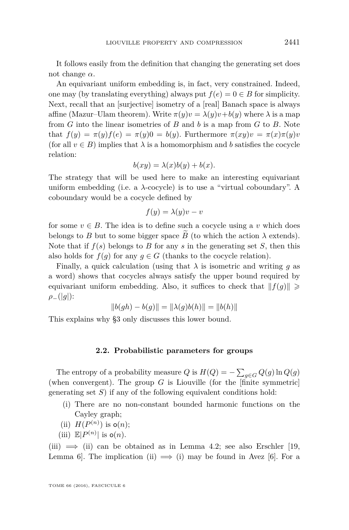It follows easily from the definition that changing the generating set does not change *α*.

An equivariant uniform embedding is, in fact, very constrained. Indeed, one may (by translating everything) always put  $f(e) = 0 \in B$  for simplicity. Next, recall that an [surjective] isometry of a [real] Banach space is always affine (Mazur–Ulam theorem). Write  $\pi(y)v = \lambda(y)v + b(y)$  where  $\lambda$  is a map from *G* into the linear isometries of *B* and *b* is a map from *G* to *B*. Note that  $f(y) = \pi(y)f(e) = \pi(y)0 = b(y)$ . Furthermore  $\pi(xy)v = \pi(x)\pi(y)v$ (for all  $v \in B$ ) implies that  $\lambda$  is a homomorphism and *b* satisfies the cocycle relation:

$$
b(xy) = \lambda(x)b(y) + b(x).
$$

The strategy that will be used here to make an interesting equivariant uniform embedding (i.e. a *λ*-cocycle) is to use a "virtual coboundary". A coboundary would be a cocycle defined by

$$
f(y) = \lambda(y)v - v
$$

for some  $v \in B$ . The idea is to define such a cocycle using a *v* which does belongs to *B* but to some bigger space *B* (to which the action  $\lambda$  extends). Note that if  $f(s)$  belongs to *B* for any *s* in the generating set *S*, then this also holds for  $f(q)$  for any  $q \in G$  (thanks to the cocycle relation).

Finally, a quick calculation (using that  $\lambda$  is isometric and writing *g* as a word) shows that cocycles always satisfy the upper bound required by equivariant uniform embedding. Also, it suffices to check that  $|| f(g) || \ge$ *ρ*−(|*g*|):

$$
||b(gh) - b(g)|| = ||\lambda(g)b(h)|| = ||b(h)||
$$

This explains why [§3](#page-9-0) only discusses this lower bound.

#### **2.2. Probabilistic parameters for groups**

<span id="page-7-0"></span>The entropy of a probability measure  $Q$  is  $H(Q) = -\sum_{g \in G} Q(g) \ln Q(g)$ (when convergent). The group  $G$  is Liouville (for the  $[\text{finite}$  symmetric) generating set *S*) if any of the following equivalent conditions hold:

- <span id="page-7-3"></span>(i) There are no non-constant bounded harmonic functions on the Cayley graph;
- <span id="page-7-2"></span>(ii)  $H(P^{(n)})$  is  $o(n)$ ;
- <span id="page-7-1"></span>(iii)  $\mathbb{E}|P^{(n)}|$  is  $o(n)$ .

[\(iii\)](#page-7-1)  $\implies$  [\(ii\)](#page-7-2) can be obtained as in Lemma [4.2;](#page-13-0) see also Erschler [\[19,](#page-19-14) Lemma 6. The implication [\(ii\)](#page-7-2)  $\implies$  [\(i\)](#page-7-3) may be found in Avez [6.]. For a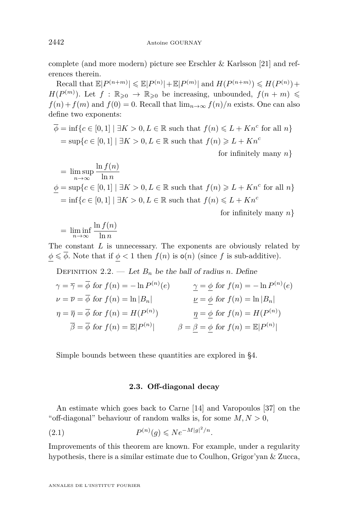complete (and more modern) picture see Erschler & Karlsson [\[21\]](#page-19-4) and references therein.

 $\text{Recall that } \mathbb{E}|P^{(n+m)}| \leq \mathbb{E}|P^{(n)}| + \mathbb{E}|P^{(m)}| \text{ and } H(P^{(n+m)}) \leq H(P^{(n)}) +$  $H(P^{(m)})$ . Let  $f : \mathbb{R}_{\geqslant 0} \to \mathbb{R}_{\geqslant 0}$  be increasing, unbounded,  $f(n+m) \leqslant$  $f(n) + f(m)$  and  $f(0) = 0$ . Recall that  $\lim_{n \to \infty} f(n)/n$  exists. One can also define two exponents:

$$
\overline{\phi} = \inf \{ c \in [0, 1] \mid \exists K > 0, L \in \mathbb{R} \text{ such that } f(n) \leq L + Kn^c \text{ for all } n \}
$$

$$
= \sup \{ c \in [0, 1] \mid \exists K > 0, L \in \mathbb{R} \text{ such that } f(n) \geq L + Kn^c
$$

for infinitely many *n*}

$$
= \limsup_{n \to \infty} \frac{\ln f(n)}{\ln n}
$$
  

$$
\underline{\phi} = \sup \{ c \in [0, 1] \mid \exists K > 0, L \in \mathbb{R} \text{ such that } f(n) \ge L + Kn^c \text{ for all } n \}
$$
  

$$
= \inf \{ c \in [0, 1] \mid \exists K > 0, L \in \mathbb{R} \text{ such that } f(n) \le L + Kn^c
$$

for infinitely many *n*}

$$
= \liminf_{n \to \infty} \frac{\ln f(n)}{\ln n}
$$

The constant *L* is unnecessary. The exponents are obviously related by  $\phi \leq \overline{\phi}$ . Note that if  $\phi < 1$  then  $f(n)$  is  $o(n)$  (since *f* is sub-additive).

DEFINITION 2.2. — Let  $B_n$  be the ball of radius *n*. Define

$$
\gamma = \overline{\gamma} = \overline{\phi} \text{ for } f(n) = -\ln P^{(n)}(e) \qquad \gamma = \underline{\phi} \text{ for } f(n) = -\ln P^{(n)}(e)
$$
  
\n
$$
\nu = \overline{\nu} = \overline{\phi} \text{ for } f(n) = \ln |B_n| \qquad \qquad \underline{\nu} = \underline{\phi} \text{ for } f(n) = \ln |B_n|
$$
  
\n
$$
\eta = \overline{\eta} = \overline{\phi} \text{ for } f(n) = H(P^{(n)}) \qquad \qquad \underline{\eta} = \underline{\phi} \text{ for } f(n) = H(P^{(n)})
$$
  
\n
$$
\overline{\beta} = \overline{\phi} \text{ for } f(n) = \mathbb{E}|P^{(n)}| \qquad \qquad \beta = \underline{\beta} = \underline{\phi} \text{ for } f(n) = \mathbb{E}|P^{(n)}|
$$

Simple bounds between these quantities are explored in [§4.](#page-12-0)

#### <span id="page-8-1"></span>**2.3. Off-diagonal decay**

<span id="page-8-0"></span>An estimate which goes back to Carne [\[14\]](#page-19-15) and Varopoulos [\[37\]](#page-20-2) on the "off-diagonal" behaviour of random walks is, for some  $M, N > 0$ ,

(2.1) 
$$
P^{(n)}(g) \leqslant N e^{-M|g|^2/n}.
$$

Improvements of this theorem are known. For example, under a regularity hypothesis, there is a similar estimate due to Coulhon, Grigor'yan & Zucca,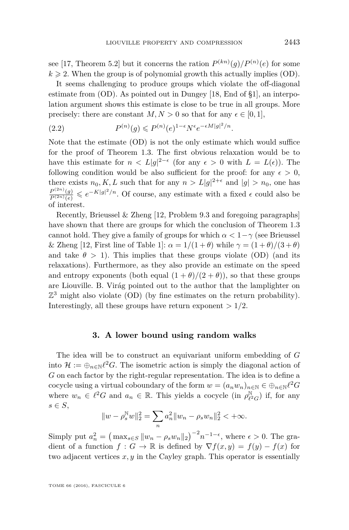see [\[17,](#page-19-16) Theorem 5.2] but it concerns the ration  $P^{(kn)}(g)/P^{(n)}(e)$  for some  $k \geqslant 2$ . When the group is of polynomial growth this actually implies [\(OD\)](#page-3-1).

It seems challenging to produce groups which violate the off-diagonal estimate from [\(OD\)](#page-3-1). As pointed out in Dungey [\[18,](#page-19-17) End of §1], an interpolation argument shows this estimate is close to be true in all groups. More precisely: there are constant  $M, N > 0$  so that for any  $\epsilon \in [0, 1]$ ,

<span id="page-9-1"></span>(2.2) 
$$
P^{(n)}(g) \leqslant P^{(n)}(e)^{1-\epsilon} N^{\epsilon} e^{-\epsilon M |g|^2/n}.
$$

Note that the estimate [\(OD\)](#page-3-1) is not the only estimate which would suffice for the proof of Theorem [1.3.](#page-3-0) The first obvious relaxation would be to have this estimate for  $n < L|g|^{2-\epsilon}$  (for any  $\epsilon > 0$  with  $L = L(\epsilon)$ ). The following condition would be also sufficient for the proof: for any  $\epsilon > 0$ , there exists  $n_0, K, L$  such that for any  $n > L|g|^{2+\epsilon}$  and  $|g| > n_0$ , one has  $\frac{P^{(2n)}(g)}{P^{(2n)}(e)}$  ≤  $e^{-K|g|^2/n}$ . Of course, any estimate with a fixed  $\epsilon$  could also be of interest.

Recently, Brieussel & Zheng [\[12,](#page-19-7) Problem 9.3 and foregoing paragraphs] have shown that there are groups for which the conclusion of Theorem [1.3](#page-3-0) cannot hold. They give a family of groups for which  $\alpha < 1-\gamma$  (see Brieussel & Zheng [\[12,](#page-19-7) First line of Table 1]:  $\alpha = 1/(1 + \theta)$  while  $\gamma = (1 + \theta)/(3 + \theta)$ and take  $\theta > 1$ ). This implies that these groups violate [\(OD\)](#page-3-1) (and its relaxations). Furthermore, as they also provide an estimate on the speed and entropy exponents (both equal  $(1 + \theta)/(2 + \theta)$ ), so that these groups are Liouville. B. Virág pointed out to the author that the lamplighter on  $\mathbb{Z}^3$  might also violate [\(OD\)](#page-3-1) (by fine estimates on the return probability). Interestingly, all these groups have return exponent  $> 1/2$ .

#### **3. A lower bound using random walks**

<span id="page-9-0"></span>The idea will be to construct an equivariant uniform embedding of *G* into  $\mathcal{H} := \bigoplus_{n \in \mathbb{N}} \ell^2 G$ . The isometric action is simply the diagonal action of *G* on each factor by the right-regular representation. The idea is to define a cocycle using a virtual coboundary of the form  $w = (a_n w_n)_{n \in \mathbb{N}} \in \bigoplus_{n \in \mathbb{N}} \ell^2 G$ where  $w_n \in \ell^2 G$  and  $a_n \in \mathbb{R}$ . This yields a cocycle (in  $\rho_{\ell^2}^{\mathbb{N}}$  $\binom{\mathbb{N}}{\ell^2 G}$  if, for any *s* ∈ *S*,

$$
||w - \rho_s^N w||_2^2 = \sum_n a_n^2 ||w_n - \rho_s w_n||_2^2 < +\infty.
$$

Simply put  $a_n^2 = (\max_{s \in S} ||w_n - \rho_s w_n||_2)^{-2} n^{-1-\epsilon}$ , where  $\epsilon > 0$ . The gradient of a function  $f : G \to \mathbb{R}$  is defined by  $\nabla f(x, y) = f(y) - f(x)$  for two adjacent vertices *x, y* in the Cayley graph. This operator is essentially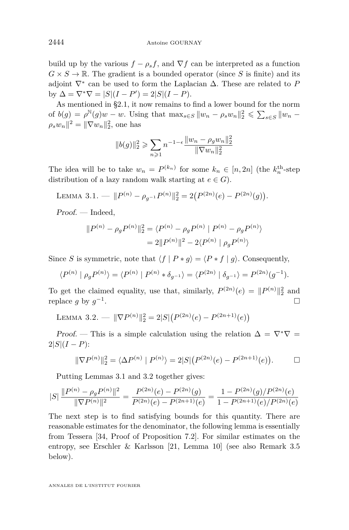build up by the various  $f - \rho_s f$ , and  $\nabla f$  can be interpreted as a function  $G \times S \to \mathbb{R}$ . The gradient is a bounded operator (since *S* is finite) and its adjoint  $\nabla^*$  can be used to form the Laplacian  $\Delta$ . These are related to *P*  $\text{by } \Delta = \nabla^* \nabla = |S|(I - P') = 2|S|(I - P).$ 

As mentioned in [§2.1,](#page-6-1) it now remains to find a lower bound for the norm of  $b(g) = \rho^{\mathbb{N}}(g)w - w$ . Using that  $\max_{s \in S} ||w_n - \rho_s w_n||_2^2 \leq \sum_{s \in S} ||w_n - w_s||_2^2$  $\rho_s w_n\|^2 = \|\nabla w_n\|_2^2$ , one has

$$
||b(g)||_2^2 \ge \sum_{n\ge 1} n^{-1-\epsilon} \frac{||w_n - \rho_g w_n||_2^2}{||\nabla w_n||_2^2}
$$

The idea will be to take  $w_n = P^{(k_n)}$  for some  $k_n \in [n, 2n]$  (the  $k_n^{\text{th}}$ -step distribution of a lazy random walk starting at  $e \in G$ .

<span id="page-10-0"></span>LEMMA 3.1. — 
$$
||P^{(n)} - \rho_{g^{-1}} P^{(n)}||_2^2 = 2(P^{(2n)}(e) - P^{(2n)}(g)).
$$

Proof. — Indeed,

$$
||P^{(n)} - \rho_g P^{(n)}||_2^2 = \langle P^{(n)} - \rho_g P^{(n)} | P^{(n)} - \rho_g P^{(n)} \rangle
$$
  
= 2||P^{(n)}||^2 - 2\langle P^{(n)} | \rho\_g P^{(n)} \rangle

Since *S* is symmetric, note that  $\langle f | P * g \rangle = \langle P * f | g \rangle$ . Consequently,

$$
\langle P^{(n)} | \rho_g P^{(n)} \rangle = \langle P^{(n)} | P^{(n)} * \delta_{g^{-1}} \rangle = \langle P^{(2n)} | \delta_{g^{-1}} \rangle = P^{(2n)}(g^{-1}).
$$

To get the claimed equality, use that, similarly,  $P^{(2n)}(e) = ||P^{(n)}||_2^2$  and replace *g* by  $g^{-1}$ . В последните последните последните последните последните последните последните последните последните последн<br>В последните последните последните последните последните последните последните последните последните последнит

<span id="page-10-1"></span>LEMMA 3.2. — 
$$
\|\nabla P^{(n)}\|_2^2 = 2|S|\left(P^{(2n)}(e) - P^{(2n+1)}(e)\right)
$$

Proof. — This is a simple calculation using the relation  $\Delta = \nabla^* \nabla =$  $2|S|(I-P)$ :

$$
\|\nabla P^{(n)}\|_2^2 = \langle \Delta P^{(n)} | P^{(n)} \rangle = 2|S| (P^{(2n)}(e) - P^{(2n+1)}(e)). \square
$$

Putting Lemmas [3.1](#page-10-0) and [3.2](#page-10-1) together gives:

$$
|S|\ \frac{\|P^{(n)} - \rho_g P^{(n)}\|^2}{\|\nabla P^{(n)}\|^2} = \frac{P^{(2n)}(e) - P^{(2n)}(g)}{P^{(2n)}(e) - P^{(2n+1)}(e)} = \frac{1 - P^{(2n)}(g)/P^{(2n)}(e)}{1 - P^{(2n+1)}(e)/P^{(2n)}(e)}
$$

The next step is to find satisfying bounds for this quantity. There are reasonable estimates for the denominator, the following lemma is essentially from Tessera [\[34,](#page-19-0) Proof of Proposition 7.2]. For similar estimates on the entropy, see Erschler & Karlsson [\[21,](#page-19-4) Lemma 10] (see also Remark [3.5](#page-12-1) below).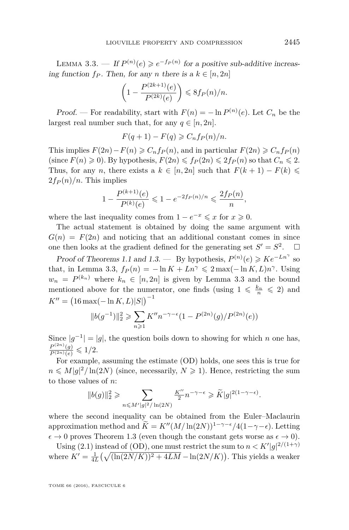<span id="page-11-0"></span>LEMMA 3.3. — If  $P^{(n)}(e) \geq e^{-f_P(n)}$  for a positive sub-additive increasing function  $f_P$ . Then, for any *n* there is a  $k \in [n, 2n]$ 

$$
\left(1 - \frac{P^{(2k+1)}(e)}{P^{(2k)}(e)}\right) \leq 8f_P(n)/n.
$$

Proof. — For readability, start with  $F(n) = -\ln P^{(n)}(e)$ . Let  $C_n$  be the largest real number such that, for any  $q \in [n, 2n]$ .

$$
F(q+1) - F(q) \geqslant C_n f_P(n)/n.
$$

This implies  $F(2n) - F(n) \geqslant C_n f_p(n)$ , and in particular  $F(2n) \geqslant C_n f_p(n)$ (since  $F(n) \geq 0$ ). By hypothesis,  $F(2n) \leq f_P(2n) \leq 2f_P(n)$  so that  $C_n \leq 2$ . Thus, for any *n*, there exists a  $k \in [n, 2n]$  such that  $F(k+1) - F(k) \le$  $2f_P(n)/n$ . This implies

$$
1 - \frac{P^{(k+1)}(e)}{P^{(k)}(e)} \leq 1 - e^{-2f_P(n)/n} \leq \frac{2f_P(n)}{n},
$$

where the last inequality comes from  $1 - e^{-x} \leq x$  for  $x \geq 0$ .

The actual statement is obtained by doing the same argument with  $G(n) = F(2n)$  and noticing that an additional constant comes in since one then looks at the gradient defined for the generating set  $S' = S^2$ .  $\Box$ 

Proof of Theorems [1.1](#page-2-0) and [1.3.](#page-3-0) — By hypothesis,  $P^{(n)}(e) \geqslant Ke^{-Ln^{\gamma}}$  so that, in Lemma [3.3,](#page-11-0)  $f_P(n) = -\ln K + Ln^{\gamma} \leq 2 \max(-\ln K, L)n^{\gamma}$ . Using  $w_n = P^{(k_n)}$  where  $k_n \in [n, 2n]$  is given by Lemma [3.3](#page-11-0) and the bound mentioned above for the numerator, one finds (using  $1 \leq k_n \leq 2$ ) and  $K'' = (16 \max(-\ln K, L)|S|)^{-1}$ 

$$
||b(g^{-1})||_2^2 \geqslant \sum_{n\geqslant 1} K'' n^{-\gamma-\epsilon} (1 - P^{(2n)}(g) / P^{(2n)}(\epsilon))
$$

Since  $|g^{-1}| = |g|$ , the question boils down to showing for which *n* one has,  $\frac{P^{(2n)}(g)}{P^{(2n)}(e)} \leq 1/2.$ 

For example, assuming the estimate [\(OD\)](#page-3-1) holds, one sees this is true for  $n \leq M|g|^2/\ln(2N)$  (since, necessarily,  $N \geq 1$ ). Hence, restricting the sum to those values of *n*:

$$
\|b(g)\|_2^2\geqslant \sum_{n\leqslant M'|g|^2/\ln(2N)}\tfrac{K''}{2}n^{-\gamma-\epsilon}\geqslant \widetilde{K}|g|^{2(1-\gamma-\epsilon)}.
$$

where the second inequality can be obtained from the Euler–Maclaurin approximation method and  $\widetilde{K} = K''(M/\ln(2N))^{1-\gamma-\epsilon}/4(1-\gamma-\epsilon)$ . Letting  $\epsilon \to 0$  proves Theorem [1.3](#page-3-0) (even though the constant gets worse as  $\epsilon \to 0$ ).

Using [\(2.1\)](#page-8-1) instead of [\(OD\)](#page-3-1), one must restrict the sum to  $n < K'|g|^{2/(1+\gamma)}$ where  $K' = \frac{1}{4L} \left( \sqrt{(\ln(2N/K))^2 + 4LM} - \ln(2N/K) \right)$ . This yields a weaker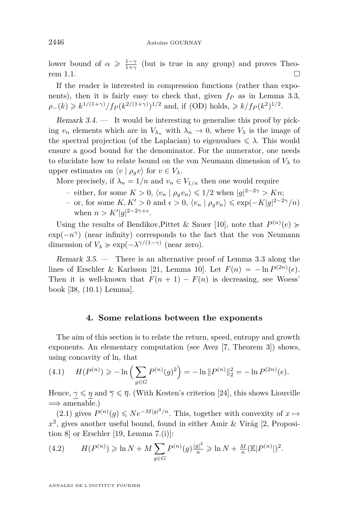lower bound of  $\alpha \geq \frac{1-\gamma}{1+\gamma}$  (but is true in any group) and proves Theo-rem [1.1.](#page-2-0)  $\Box$ 

If the reader is interested in compression functions (rather than exponents), then it is fairly easy to check that, given *f<sup>P</sup>* as in Lemma [3.3,](#page-11-0)  $\rho_{-}(k) \geq k^{1/(1+\gamma)}/f_P(k^{2/(1+\gamma)})^{1/2}$  and, if [\(OD\)](#page-3-1) holds,  $\geq k/f_P(k^2)^{1/2}$ .

Remark  $3.4.$  — It would be interesting to generalise this proof by picking  $v_n$  elements which are in  $V_{\lambda_n}$  with  $\lambda_n \to 0$ , where  $V_{\lambda}$  is the image of the spectral projection (of the Laplacian) to eigenvalues  $\leq \lambda$ . This would ensure a good bound for the denominator. For the numerator, one needs to elucidate how to relate bound on the von Neumann dimension of  $V_\lambda$  to upper estimates on  $\langle v | \rho_q v \rangle$  for  $v \in V_\lambda$ .

More precisely, if  $\lambda_n = 1/n$  and  $v_n \in V_{1/n}$  then one would require

- *–* either, for some  $K > 0$ ,  $\langle v_n | \rho_g v_n \rangle \leq 1/2$  when  $|g|^{2-2\gamma} > Kn$ ;
- $-$  or, for some *K*, *K'* > 0 and  $\epsilon$  > 0,  $\langle v_n | \rho_g v_n \rangle$  ≤ exp( $-K|g|^{2-2\gamma}/n$ ) when  $n > K'|g|^{2-2\gamma+\epsilon}$ .

Using the results of Bendikov, Pittet & Sauer [\[10\]](#page-18-2), note that  $P^{(n)}(e) \geq$  $\exp(-n^{\gamma})$  (near infinity) corresponds to the fact that the von Neumann dimension of  $V_{\lambda} \geq \exp(-\lambda^{\gamma/(1-\gamma)})$  (near zero).

<span id="page-12-1"></span>Remark 3.5. — There is an alternative proof of Lemma [3.3](#page-11-0) along the lines of Erschler & Karlsson [\[21,](#page-19-4) Lemma 10]. Let  $F(n) = -\ln P^{(2n)}(e)$ . Then it is well-known that  $F(n + 1) - F(n)$  is decreasing, see Woess' book [\[38,](#page-20-0) (10.1) Lemma].

#### **4. Some relations between the exponents**

<span id="page-12-0"></span>The aim of this section is to relate the return, speed, entropy and growth exponents. An elementary computation (see Avez [\[7,](#page-18-7) Theorem 3]) shows, using concavity of ln, that

<span id="page-12-3"></span>(4.1) 
$$
H(P^{(n)}) \ge -\ln\left(\sum_{g \in G} P^{(n)}(g)^2\right) = -\ln \|P^{(n)}\|_2^2 = -\ln P^{(2n)}(e).
$$

Hence,  $\gamma \leq \eta$  and  $\overline{\gamma} \leq \overline{\eta}$ . (With Kesten's criterion [\[24\]](#page-19-8), this shows Liouville  $\implies$  amenable.)

[\(2.1\)](#page-8-1) gives  $P^{(n)}(g)$  ≤  $Ne^{-M|g|^2/n}$ . This, together with convexity of  $x \mapsto$  $x^2$ , gives another useful bound, found in either Amir & Virág [\[2,](#page-18-8) Proposition 8] or Erschler [\[19,](#page-19-14) Lemma 7.(i)]:

<span id="page-12-2"></span>(4.2) 
$$
H(P^{(n)}) \ge \ln N + M \sum_{g \in G} P^{(n)}(g) \frac{|g|^2}{n} \ge \ln N + \frac{M}{n} (\mathbb{E}|P^{(n)}|)^2.
$$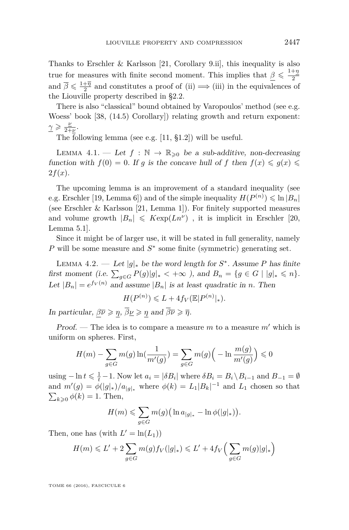Thanks to Erschler & Karlsson [\[21,](#page-19-4) Corollary 9.ii], this inequality is also true for measures with finite second moment. This implies that  $\beta \leqslant \frac{1+\eta}{2}$ 2 and  $\overline{\beta} \leq \frac{1+\overline{\eta}}{2}$  and constitutes a proof of [\(ii\)](#page-7-2)  $\implies$  [\(iii\)](#page-7-1) in the equivalences of the Liouville property described in [§2.2.](#page-7-0)

There is also "classical" bound obtained by Varopoulos' method (see e.g. Woess' book [\[38,](#page-20-0) (14.5) Corollary]) relating growth and return exponent:  $\gamma \geqslant \frac{\nu}{2+1}$  $rac{\nu}{2+\nu}$ .

The following lemma (see e.g. [\[11,](#page-19-18) §1.2]) will be useful.

<span id="page-13-1"></span>LEMMA 4.1. — Let  $f : \mathbb{N} \to \mathbb{R}_{\geq 0}$  be a sub-additive, non-decreasing function with  $f(0) = 0$ . If *g* is the concave hull of *f* then  $f(x) \le g(x) \le$  $2f(x)$ .

The upcoming lemma is an improvement of a standard inequality (see e.g. Erschler [\[19,](#page-19-14) Lemma 6]) and of the simple inequality  $H(P^{(n)}) \leq \ln |B_n|$ (see Erschler & Karlsson [\[21,](#page-19-4) Lemma 1]). For finitely supported measures and volume growth  $|B_n| \leqslant K \exp(Ln^{\nu})$ , it is implicit in Erschler [\[20,](#page-19-6) Lemma 5.1].

Since it might be of larger use, it will be stated in full generality, namely *P* will be some measure and *S*<sup>∗</sup> some finite (symmetric) generating set.

<span id="page-13-0"></span>LEMMA 4.2. — Let  $|g|_*$  be the word length for  $S^*$ . Assume P has finite first moment (i.e.  $\sum_{g \in G} P(g)|g|_{*} < +\infty$ ), and  $B_n = \{g \in G \mid |g|_{*} \leq n\}.$ Let  $|B_n| = e^{f_V(n)}$  and assume  $|B_n|$  is at least quadratic in *n*. Then

$$
H(P^{(n)}) \leqslant L + 4f_V(\mathbb{E}|P^{(n)}|_*).
$$

In particular,  $\beta \overline{\nu} \geqslant \eta$ ,  $\overline{\beta} \underline{\nu} \geqslant \eta$  and  $\overline{\beta} \overline{\nu} \geqslant \overline{\eta}$ .

Proof. — The idea is to compare a measure  $m$  to a measure  $m'$  which is uniform on spheres. First,

$$
H(m) - \sum_{g \in G} m(g) \ln(\frac{1}{m'(g)}) = \sum_{g \in G} m(g) \left( -\ln \frac{m(g)}{m'(g)} \right) \le 0
$$

using  $-\ln t \le \frac{1}{t} - 1$ . Now let  $a_i = |\delta B_i|$  where  $\delta B_i = B_i \setminus B_{i-1}$  and  $B_{-1} = \emptyset$ and  $m'(g) = \phi(|g|_*)/a_{|g|_*}$  where  $\phi(k) = L_1|B_k|^{-1}$  and  $L_1$  chosen so that  $\sum_{k\geqslant 0} \phi(k) = 1$ . Then,

$$
H(m) \leqslant \sum_{g \in G} m(g) \Big( \ln a_{|g|_*} - \ln \phi(|g|_*) \Big).
$$

Then, one has (with  $L' = \ln(L_1)$ )

$$
H(m) \leqslant L' + 2\sum_{g \in G} m(g) f_V(|g|_*) \leqslant L' + 4f_V\Big(\sum_{g \in G} m(g)|g|_*\Big)
$$

TOME 66 (2016), FASCICULE 6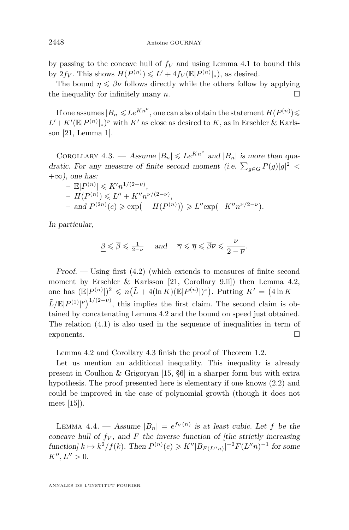by passing to the concave hull of  $f_V$  and using Lemma [4.1](#page-13-1) to bound this by  $2f_V$ . This shows  $H(P^{(n)}) \leq L' + 4f_V(\mathbb{E}|P^{(n)}|_*)$ , as desired.

The bound  $\bar{\eta} \leq \bar{\beta} \bar{\nu}$  follows directly while the others follow by applying the inequality for infinitely many  $n$ .

If one assumes  $|B_n| \leqslant Le^{Kn^{\nu}}$ , one can also obtain the statement  $H(P^{(n)})$  $L' + K'(\mathbb{E}|P^{(n)}|_*)^{\nu}$  with  $K'$  as close as desired to  $K$ , as in Erschler & Karlsson [\[21,](#page-19-4) Lemma 1].

<span id="page-14-0"></span>COROLLARY 4.3. — Assume  $|B_n| \leqslant Le^{Kn^{\nu}}$  and  $|B_n|$  is more than quadratic. For any measure of finite second moment (i.e.  $\sum_{g \in G} P(g)|g|^2$  <  $+\infty$ ), one has:

- 
$$
\mathbb{E}|P^{(n)}| \le K'n^{1/(2-\nu)},
$$
  
\n-  $H(P^{(n)}) \le L'' + K''n^{\nu/(2-\nu)},$   
\n- and  $P^{(2n)}(e) \ge \exp(-H(P^{(n)})) \ge L'' \exp(-K''n^{\nu/2-\nu}).$ 

In particular,

$$
\underline{\beta} \leqslant \overline{\beta} \leqslant \frac{1}{2-\overline{\nu}} \quad \text{and} \quad \overline{\gamma} \leqslant \overline{\eta} \leqslant \overline{\beta}\overline{\nu} \leqslant \frac{\overline{\nu}}{2-\overline{\nu}}.
$$

Proof. — Using first [\(4.2\)](#page-12-2) (which extends to measures of finite second moment by Erschler & Karlsson [\[21,](#page-19-4) Corollary 9.ii]) then Lemma [4.2,](#page-13-0) one has  $(\mathbb{E}|P^{(n)}|)^2 \leq n(\tilde{L} + 4(\ln K)(\mathbb{E}|P^{(n)}|)^{\nu})$ . Putting  $K' = (4 \ln K +$  $\tilde{L}/\mathbb{E}|P^{(1)}|^{1/(2-\nu)}$ , this implies the first claim. The second claim is obtained by concatenating Lemma [4.2](#page-13-0) and the bound on speed just obtained. The relation [\(4.1\)](#page-12-3) is also used in the sequence of inequalities in term of exponents.

Lemma [4.2](#page-13-0) and Corollary [4.3](#page-14-0) finish the proof of Theorem [1.2.](#page-2-2)

Let us mention an additional inequality. This inequality is already present in Coulhon & Grigoryan [\[15,](#page-19-19) §6] in a sharper form but with extra hypothesis. The proof presented here is elementary if one knows [\(2.2\)](#page-9-1) and could be improved in the case of polynomial growth (though it does not meet [\[15\]](#page-19-19)).

<span id="page-14-1"></span>LEMMA 4.4. — Assume  $|B_n| = e^{f_V(n)}$  is at least cubic. Let f be the concave hull of  $f_V$ , and  $F$  the inverse function of  $[the \; strictly \; increasing]$  ${\rm function}\{k \mapsto k^2/f(k).$  Then  $P^{(n)}(e) \geqslant K''|B_{F(L''n)}|^{-2}F(L''n)^{-1}$  for some  $K'', L'' > 0.$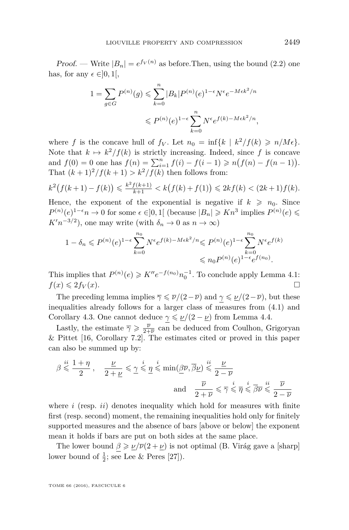Proof. — Write  $|B_n| = e^{f_V(n)}$  as before. Then, using the bound [\(2.2\)](#page-9-1) one has, for any  $\epsilon \in ]0,1[$ ,

$$
1 = \sum_{g \in G} P^{(n)}(g) \leq \sum_{k=0}^{n} |B_k| P^{(n)}(e)^{1-\epsilon} N^{\epsilon} e^{-M \epsilon k^2/n}
$$
  

$$
\leq P^{(n)}(e)^{1-\epsilon} \sum_{k=0}^{n} N^{\epsilon} e^{f(k) - M \epsilon k^2/n},
$$

where *f* is the concave hull of  $f_V$ . Let  $n_0 = \inf\{k \mid k^2/f(k) \geq n/M\epsilon\}.$ Note that  $k \mapsto k^2/f(k)$  is strictly increasing. Indeed, since f is concave and  $f(0) = 0$  one has  $f(n) = \sum_{i=1}^{n} f(i) - f(i-1) \geq n(f(n) - f(n-1)).$ That  $(k+1)^2/f(k+1) > k^2/f(k)$  then follows from:

$$
k^{2}(f(k+1) - f(k)) \leq \frac{k^{2} f(k+1)}{k+1} < k\big(f(k) + f(1)\big) \leq 2kf(k) < (2k+1)f(k).
$$

Hence, the exponent of the exponential is negative if  $k \geq n_0$ . Since *P*<sup>(*n*)</sup>(*e*)<sup>1− $\epsilon$ *n* → 0 for some  $\epsilon \in ]0,1[$  (because  $|B_n| \geq Kn^3$  implies  $P^{(n)}(\epsilon)$  ≤</sup>  $K'n^{-3/2}$ , one may write (with  $\delta_n \to 0$  as  $n \to \infty$ )

$$
1 - \delta_n \leqslant P^{(n)}(e)^{1-\epsilon} \sum_{k=0}^{n_0} N^{\epsilon} e^{f(k) - M\epsilon k^2/n} \leqslant P^{(n)}(e)^{1-\epsilon} \sum_{k=0}^{n_0} N^{\epsilon} e^{f(k)}
$$
  

$$
\leqslant n_0 P^{(n)}(e)^{1-\epsilon} e^{f(n_0)}.
$$

This implies that  $P^{(n)}(e) \geq K''e^{-f(n_0)}n_0^{-1}$ . To conclude apply Lemma [4.1:](#page-13-1)  $f(x) \leq 2f_V(x)$ .

The preceding lemma implies  $\overline{\gamma} \leq \overline{\nu}/(2-\overline{\nu})$  and  $\gamma \leq \underline{\nu}/(2-\overline{\nu})$ , but these inequalities already follows for a larger class of measures from [\(4.1\)](#page-12-3) and Corollary [4.3.](#page-14-0) One cannot deduce  $\gamma \leq \nu/(2 - \nu)$  from Lemma [4.4.](#page-14-1)

Lastly, the estimate  $\overline{\gamma} \geqslant \frac{\overline{\nu}}{2+\overline{\nu}}$  can be deduced from Coulhon, Grigoryan & Pittet [\[16,](#page-19-5) Corollary 7.2]. The estimates cited or proved in this paper can also be summed up by:

$$
\beta \stackrel{ii}{\leqslant} \frac{1+\eta}{2}\,, \quad \frac{\underline{\nu}}{2+\underline{\nu}} \leqslant \underline{\gamma} \stackrel{i}{\leqslant} \underline{\eta} \stackrel{i}{\leqslant} \min(\underline{\beta}\overline{\nu}, \overline{\beta}\underline{\nu}) \stackrel{ii}{\leqslant} \frac{\underline{\nu}}{2-\overline{\nu}}\,
$$
  
and 
$$
\frac{\overline{\nu}}{2+\overline{\nu}} \leqslant \overline{\gamma} \stackrel{i}{\leqslant} \overline{\eta} \stackrel{i}{\leqslant} \overline{\beta}\overline{\nu} \stackrel{ii}{\leqslant} \frac{\overline{\nu}}{2-\overline{\nu}}
$$

where *i* (resp. *ii*) denotes inequality which hold for measures with finite first (resp. second) moment, the remaining inequalities hold only for finitely supported measures and the absence of bars [above or below] the exponent mean it holds if bars are put on both sides at the same place.

The lower bound  $\beta \ge \frac{\nu}{\nu}(\overline{\nu}(2+\underline{\nu})$  is not optimal (B. Virág gave a [sharp] lower bound of  $\frac{1}{2}$ ; see Lee & Peres [\[27\]](#page-19-20)).

TOME 66 (2016), FASCICULE 6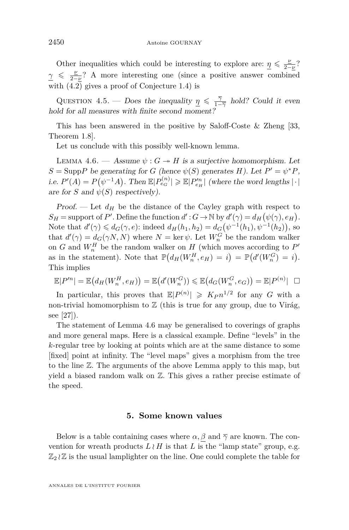Other inequalities which could be interesting to explore are:  $\eta \leqslant \frac{p}{2}$  $rac{\nu}{2-\nu}$ ?  $\gamma \leqslant \frac{\nu}{2}$ 2−*ν* ? A more interesting one (since a positive answer combined with [\(4.2\)](#page-12-2) gives a proof of Conjecture [1.4\)](#page-4-0) is

<span id="page-16-1"></span>QUESTION 4.5. — Does the inequality  $\eta \leq \frac{7}{1-\overline{\gamma}}$  hold? Could it even hold for all measures with finite second moment?

This has been answered in the positive by Saloff-Coste & Zheng [\[33,](#page-19-9) Theorem 1.8].

Let us conclude with this possibly well-known lemma.

<span id="page-16-2"></span>LEMMA 4.6. — Assume  $\psi$ :  $G \rightarrow H$  is a surjective homomorphism. Let  $S = \text{Supp } P$  be generating for *G* (hence  $\psi(S)$  generates *H*). Let  $P' = \psi^* P$ , i.e.  $P'(A) = P(\psi^{-1}A)$ . Then  $\mathbb{E}|P_{e_G}^{(n)}| \geq \mathbb{E}|P_{e_H}''|$  (where the word lengths  $|\cdot|$ are for *S* and  $\psi(S)$  respectively).

Proof. — Let  $d_H$  be the distance of the Cayley graph with respect to  $S_H$  = support of *P*'. Define the function  $d': G \to \mathbb{N}$  by  $d'(\gamma) = d_H(\psi(\gamma), e_H)$ . Note that  $d'(\gamma) \leq d_G(\gamma, e)$ : indeed  $d_H(h_1, h_2) = d_G(\psi^{-1}(h_1), \psi^{-1}(h_2))$ , so that  $d'(\gamma) = d_G(\gamma N, N)$  where  $N = \ker \psi$ . Let  $W_n^G$  be the random walker on  $G$  and  $W_n^H$  be the random walker on  $H$  (which moves according to  $P'$ as in the statement). Note that  $\mathbb{P}(d_H(W_n^H, e_H) = i) = \mathbb{P}(d'(W_n^G) = i)$ . This implies

$$
\mathbb{E}|P'^n| = \mathbb{E}(d_H(W_n^H, e_H)) = \mathbb{E}(d'(W_n^G)) \leq \mathbb{E}(d_G(W_n^G, e_G)) = \mathbb{E}|P^{(n)}| \square
$$

In particular, this proves that  $\mathbb{E}|P^{(n)}| \geqslant K_P n^{1/2}$  for any *G* with a non-trivial homomorphism to  $\mathbb Z$  (this is true for any group, due to Virág, see [\[27\]](#page-19-20)).

The statement of Lemma [4.6](#page-16-2) may be generalised to coverings of graphs and more general maps. Here is a classical example. Define "levels" in the *k*-regular tree by looking at points which are at the same distance to some [fixed] point at infinity. The "level maps" gives a morphism from the tree to the line Z. The arguments of the above Lemma apply to this map, but yield a biased random walk on Z. This gives a rather precise estimate of the speed.

#### **5. Some known values**

<span id="page-16-0"></span>Below is a table containing cases where  $\alpha, \beta$  and  $\overline{\gamma}$  are known. The convention for wreath products  $L \wr H$  is that  $L$  is the "lamp state" group, e.g.  $\mathbb{Z}_2 \wr \mathbb{Z}$  is the usual lamplighter on the line. One could complete the table for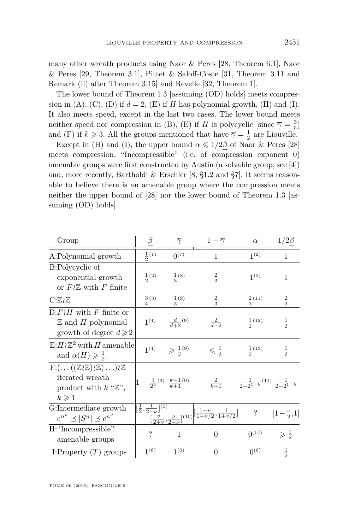many other wreath products using Naor & Peres [\[28,](#page-19-3) Theorem 6.1], Naor  $\&$  Peres [\[29,](#page-19-21) Theorem 3.1], Pittet  $\&$  Saloff-Coste [\[31,](#page-19-2) Theorem 3.11 and Remark (ii) after Theorem 3.15] and Revelle [\[32,](#page-19-22) Theorem 1].

The lower bound of Theorem [1.3](#page-3-0) [assuming [\(OD\)](#page-3-1) holds] meets compression in (A), (C), (D) if  $d = 2$ , (E) if *H* has polynomial growth, (H) and (I). It also meets speed, except in the last two cases. The lower bound meets neither speed nor compression in (B), (E) if *H* is polycyclic [since  $\overline{\gamma} = \frac{3}{5}$ ] and (F) if  $k \ge 3$ . All the groups mentioned that have  $\overline{\gamma} = \frac{1}{2}$  are Liouville.

Except in (H) and (I), the upper bound  $\alpha \leq 1/2\beta$  of Naor & Peres [\[28\]](#page-19-3) meets compression. "Incompressible" (i.e. of compression exponent 0) amenable groups were first constructed by Austin (a solvable group, see [\[4\]](#page-18-9)) and, more recently, Bartholdi & Erschler [\[8,](#page-18-0) §1.2 and §7]. It seems reasonable to believe there is an amenable group where the compression meets neither the upper bound of [\[28\]](#page-19-3) nor the lower bound of Theorem [1.3](#page-3-0) [assuming [\(OD\)](#page-3-1) holds].

| Group                                                                                                                                                        | β                                                | $\overline{\gamma}$           | $1-\overline{\gamma}$                                                                                                                                           | $\alpha$          | $1/2\beta$                                      |
|--------------------------------------------------------------------------------------------------------------------------------------------------------------|--------------------------------------------------|-------------------------------|-----------------------------------------------------------------------------------------------------------------------------------------------------------------|-------------------|-------------------------------------------------|
| A:Polynomial growth                                                                                                                                          | $rac{1}{2}(1)$                                   | $0^{(7)}$                     | 1                                                                                                                                                               | 1 <sup>(2)</sup>  | $\mathbf{1}$                                    |
| B:Polycyclic of<br>exponential growth<br>or $F \wr \mathbb{Z}$ with F finite                                                                                 | $rac{1}{2}(2)$                                   | $\frac{1}{3}$ (8)             | $\frac{2}{3}$                                                                                                                                                   | 1 <sup>(2)</sup>  | $\mathbf{1}$                                    |
| $C:\mathbb{Z} \wr \mathbb{Z}$                                                                                                                                | $\frac{3}{4}(3)$                                 | $\frac{1}{3}(9)$              | $\frac{2}{3}$                                                                                                                                                   | $\frac{2}{3}(11)$ | $\frac{2}{3}$                                   |
| $D: F \wr H$ with F finite or<br>$\mathbb Z$ and H polynomial<br>growth of degree $d \geqslant 2$                                                            | 1 <sup>(4)</sup>                                 | $rac{d}{d+2}$ <sup>(9)</sup>  | $rac{2}{d+2}$                                                                                                                                                   | $rac{1}{2}(12)$   | $\frac{1}{2}$                                   |
| $E: H \wr \mathbb{Z}^2$ with H amenable<br>and $\alpha(H) \geqslant \frac{1}{2}$                                                                             | 1 <sup>(4)</sup>                                 | $\geqslant \frac{1}{2}^{(9)}$ | $\leqslant \frac{1}{2}$                                                                                                                                         | $rac{1}{2}(13)$   | $\frac{1}{2}$                                   |
| $F: (\ldots ((\mathbb{Z} \wr \mathbb{Z}) \wr \mathbb{Z}) \ldots ) \wr \mathbb{Z}$<br>iterated wreath<br>product with $k$ " $\mathbb{Z}$ ",<br>$k\geqslant 1$ | $1-\frac{1}{2^k}^{(3)}$ $\frac{k-1}{k+1}^{(9)}$  |                               | $\frac{2}{k+1}$                                                                                                                                                 |                   | $\frac{1}{2-2^{1-k}}(11)$ $\frac{1}{2-2^{1-k}}$ |
| G:Intermediate growth<br>$e^{n^{\nu}} \preceq  S^n  \preceq e^{n^{\nu}}$                                                                                     | $\left[\frac{1}{2},\frac{1}{2-\nu}\right]^{(5)}$ |                               | $\frac{2-\nu!}{\left[\frac{\nu}{2+\nu},\frac{\nu}{2-\nu}\right]^{(10)}}\left[\frac{1-\nu}{1-\nu/2},\frac{1}{1+\nu/2}\right]$ ? $\left[1-\frac{\nu}{2},1\right]$ |                   |                                                 |
| H:"Incompressible"<br>amenable groups                                                                                                                        | ?                                                | $\mathbf{1}$                  | $\Omega$                                                                                                                                                        | $0^{(14)}$        | $\geqslant \frac{1}{2}$                         |
| I:Property $(T)$ groups                                                                                                                                      | 1 <sup>(6)</sup>                                 | $1^{(6)}$                     | $\Omega$                                                                                                                                                        | $0^{(6)}$         | $\frac{1}{2}$                                   |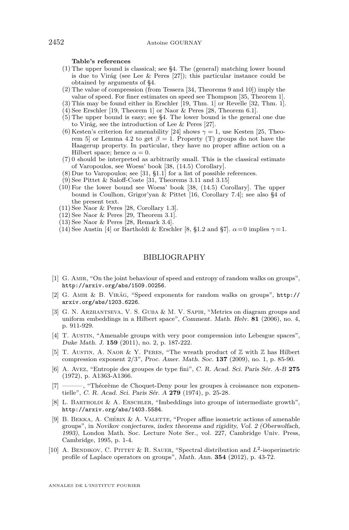**Table's references**

- (1) The upper bound is classical; see [§4.](#page-12-0) The (general) matching lower bound is due to Virág (see Lee & Peres [\[27\]](#page-19-20)); this particular instance could be obtained by arguments of §4.
- (2) The value of compression (from Tessera [\[34,](#page-19-0) Theorems 9 and 10]) imply the value of speed. For finer estimates on speed see Thompson [\[35,](#page-19-23) Theorem 1].
- (3) This may be found either in Erschler [\[19,](#page-19-14) Thm. 1] or Revelle [\[32,](#page-19-22) Thm. 1].
- (4) See Erschler [\[19,](#page-19-14) Theorem 1] or Naor & Peres [\[28,](#page-19-3) Theorem 6.1]. (5) The upper bound is easy; see [§4.](#page-12-0) The lower bound is the general one due
- to Virág, see the introduction of Lee & Peres [\[27\]](#page-19-20).
- (6) Kesten's criterion for amenability [\[24\]](#page-19-8) shows  $\gamma = 1$ , use Kesten [\[25,](#page-19-24) Theo-rem 5] or Lemma [4.2](#page-13-0) to get  $\beta = 1$ . Property (T) groups do not have the Haagerup property. In particular, they have no proper affine action on a Hilbert space; hence  $\alpha = 0$ .
- (7) 0 should be interpreted as arbitrarily small. This is the classical estimate of Varopoulos, see Woess' book [\[38,](#page-20-0) (14.5) Corollary].
- (8) Due to Varopoulos; see [\[31,](#page-19-2) §1.1] for a list of possible references.
- (9) See Pittet & Saloff-Coste [\[31,](#page-19-2) Theorems 3.11 and 3.15]
- (10) For the lower bound see Woess' book [\[38,](#page-20-0) (14.5) Corollary]. The upper bound is Coulhon, Grigor'yan & Pittet [\[16,](#page-19-5) Corollary 7.4]; see also [§4](#page-12-0) of the present text.
- (11) See Naor & Peres [\[28,](#page-19-3) Corollary 1.3].
- $(12)$  See Naor & Peres [\[29,](#page-19-21) Theorem 3.1].
- $(13)$  See Naor & Peres [\[28,](#page-19-3) Remark 3.4].
- (14) See Austin [\[4\]](#page-18-9) or Bartholdi & Erschler [\[8,](#page-18-0) §1.2 and §7].  $\alpha = 0$  implies  $\gamma = 1$ .

#### BIBLIOGRAPHY

- <span id="page-18-1"></span>[1] G. Amir, "On the joint behaviour of speed and entropy of random walks on groups", <http://arxiv.org/abs/1509.00256>.
- <span id="page-18-8"></span>[2] G. Amir & B. Virág, "Speed exponents for random walks on groups", [http://](http://arxiv.org/abs/1203.6226) [arxiv.org/abs/1203.6226](http://arxiv.org/abs/1203.6226).
- <span id="page-18-5"></span>[3] G. N. Arzhantseva, V. S. Guba & M. V. Sapir, "Metrics on diagram groups and uniform embeddings in a Hilbert space", Comment. Math. Helv. **81** (2006), no. 4, p. 911-929.
- <span id="page-18-9"></span>[4] T. AUSTIN, "Amenable groups with very poor compression into Lebesgue spaces", Duke Math. J. **159** (2011), no. 2, p. 187-222.
- <span id="page-18-4"></span>[5] T. Austin, A. Naor & Y. Peres, "The wreath product of Z with Z has Hilbert compression exponent 2/3", Proc. Amer. Math. Soc. **137** (2009), no. 1, p. 85-90.
- <span id="page-18-6"></span>[6] A. Avez, "Entropie des groupes de type fini", C. R. Acad. Sci. Paris Sér. A-B **275** (1972), p. A1363-A1366.
- <span id="page-18-7"></span>[7] ——— , "Théorème de Choquet-Deny pour les groupes à croissance non exponentielle", C. R. Acad. Sci. Paris Sér. A **279** (1974), p. 25-28.
- <span id="page-18-0"></span>[8] L. Bartholdi & A. Erschler, "Imbeddings into groups of intermediate growth", <http://arxiv.org/abs/1403.5584>.
- <span id="page-18-3"></span>[9] B. BEKKA, A. CHÉRIX & A. VALETTE, "Proper affine isometric actions of amenable groups", in Novikov conjectures, index theorems and rigidity, Vol. 2 (Oberwolfach, 1993), London Math. Soc. Lecture Note Ser., vol. 227, Cambridge Univ. Press, Cambridge, 1995, p. 1-4.
- <span id="page-18-2"></span>[10] A. BENDIKOV, C. PITTET & R. SAUER, "Spectral distribution and  $L^2$ -isoperimetric profile of Laplace operators on groups", Math. Ann. **354** (2012), p. 43-72.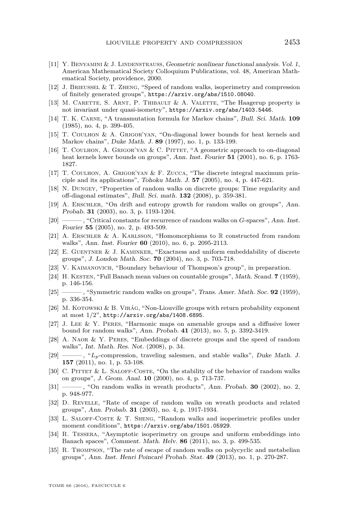- <span id="page-19-18"></span>[11] Y. Benyamini & J. Lindenstrauss, Geometric nonlinear functional analysis. Vol. 1, American Mathematical Society Colloquium Publications, vol. 48, American Mathematical Society, providence, 2000.
- <span id="page-19-7"></span>[12] J. Brieussel & T. Zheng, "Speed of random walks, isoperimetry and compression of finitely generated groups", <https://arxiv.org/abs/1510.08040>.
- <span id="page-19-11"></span>[13] M. CARETTE, S. ARNT, P. THIBAULT & A. VALETTE, "The Haagerup property is not invariant under quasi-isometry", <https://arxiv.org/abs/1403.5446>.
- <span id="page-19-15"></span>[14] T. K. Carne, "A transmutation formula for Markov chains", Bull. Sci. Math. **109** (1985), no. 4, p. 399-405.
- <span id="page-19-19"></span>[15] T. Coulhon & A. Grigor'yan, "On-diagonal lower bounds for heat kernels and Markov chains", Duke Math. J. **89** (1997), no. 1, p. 133-199.
- <span id="page-19-5"></span>[16] T. COULHON, A. GRIGOR'YAN & C. PITTET, "A geometric approach to on-diagonal heat kernels lower bounds on groups", Ann. Inst. Fourier **51** (2001), no. 6, p. 1763- 1827.
- <span id="page-19-16"></span>[17] T. Coulhon, A. Grigor'yan & F. Zucca, "The discrete integral maximum principle and its applications", Tohoku Math. J. **57** (2005), no. 4, p. 447-621.
- <span id="page-19-17"></span>[18] N. Dungey, "Properties of random walks on discrete groups: Time regularity and off-diagonal estimates", Bull. Sci. math. **132** (2008), p. 359-381.
- <span id="page-19-14"></span>[19] A. Erschler, "On drift and entropy growth for random walks on groups", Ann. Probab. **31** (2003), no. 3, p. 1193-1204.
- <span id="page-19-6"></span>[20] ——— , "Critical constants for recurrence of random walks on *G*-spaces", Ann. Inst. Fourier **55** (2005), no. 2, p. 493-509.
- <span id="page-19-4"></span>[21] A. ERSCHLER & A. KARLSSON, "Homomorphisms to R constructed from random walks", Ann. Inst. Fourier **60** (2010), no. 6, p. 2095-2113.
- <span id="page-19-12"></span>[22] E. GUENTNER & J. KAMINKER, "Exactness and uniform embeddability of discrete groups", J. London Math. Soc. **70** (2004), no. 3, p. 703-718.
- <span id="page-19-13"></span>[23] V. Kaimanovich, "Boundary behaviour of Thompson's group", in preparation.
- <span id="page-19-8"></span>[24] H. KESTEN, "Full Banach mean values on countable groups", Math. Scand. **7** (1959), p. 146-156.
- <span id="page-19-24"></span>[25] ——— , "Symmetric random walks on groups", Trans. Amer. Math. Soc. **92** (1959), p. 336-354.
- <span id="page-19-10"></span>[26] M. KOTOWSKI & B. VIRÁG, "Non-Liouville groups with return probability exponent at most 1/2", <http://arxiv.org/abs/1408.6895>.
- <span id="page-19-20"></span>[27] J. Lee & Y. Peres, "Harmonic maps on amenable groups and a diffusive lower bound for random walks", Ann. Probab. **41** (2013), no. 5, p. 3392-3419.
- <span id="page-19-3"></span>[28] A. Naor & Y. Peres, "Embeddings of discrete groups and the speed of random walks", Int. Math. Res. Not. (2008), p. 34.
- <span id="page-19-21"></span>[29] ——, "L<sub>p</sub>-compression, traveling salesmen, and stable walks", Duke Math. J. **157** (2011), no. 1, p. 53-108.
- <span id="page-19-1"></span>[30] C. PITTET & L. SALOFF-COSTE, "On the stability of the behavior of random walks on groups", J. Geom. Anal. **10** (2000), no. 4, p. 713-737.
- <span id="page-19-2"></span>[31] ——— , "On random walks in wreath products", Ann. Probab. **30** (2002), no. 2, p. 948-977.
- <span id="page-19-22"></span>[32] D. Revelle, "Rate of escape of random walks on wreath products and related groups", Ann. Probab. **31** (2003), no. 4, p. 1917-1934.
- <span id="page-19-9"></span>[33] L. Saloff-Coste & T. Sheng, "Random walks and isoperimetric profiles under moment conditions", <https://arxiv.org/abs/1501.05929>.
- <span id="page-19-0"></span>[34] R. Tessera, "Asymptotic isoperimetry on groups and uniform embeddings into Banach spaces", Comment. Math. Helv. **86** (2011), no. 3, p. 499-535.
- <span id="page-19-23"></span>[35] R. Thompson, "The rate of escape of random walks on polycyclic and metabelian groups", Ann. Inst. Henri Poincaré Probab. Stat. **49** (2013), no. 1, p. 270-287.